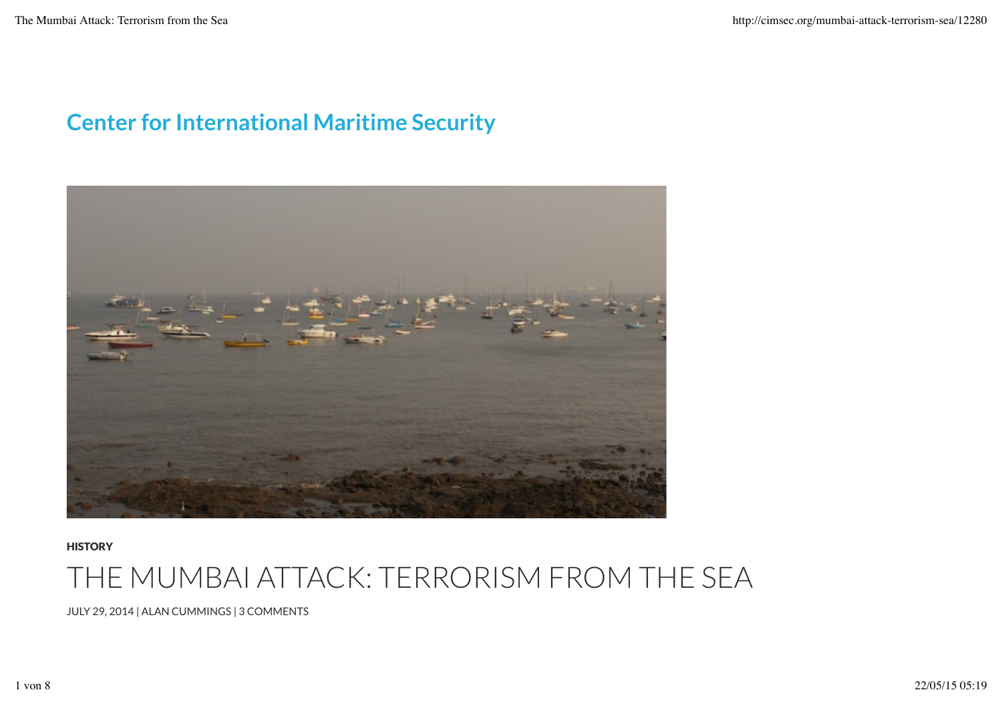## Center for International Maritime Security



**HISTORY** 

## THE MUMBAI ATTACK: TERRORISM FROM THE SEA

JULY 29, 2014 | ALAN CUMMINGS | 3 COMMENTS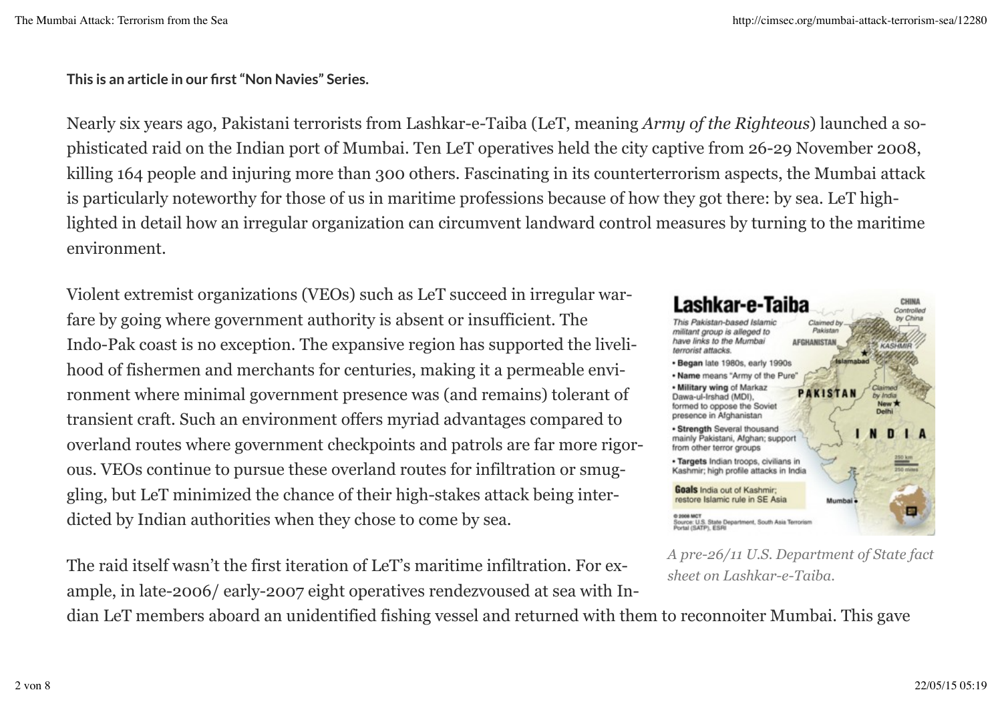This is an article in our first "Non Navies" Series.

Nearly six years ago, Pakistani terrorists from Lashkar-e-Taiba (LeT, meaning *Army of the Righteous*) launched a sophisticated raid on the Indian port of Mumbai. Ten LeT operatives held the city captive from 26-29 November 2008, killing 164 people and injuring more than 300 others. Fascinating in its counterterrorism aspects, the Mumbai attack is particularly noteworthy for those of us in maritime professions because of how they got there: by sea. LeT highlighted in detail how an irregular organization can circumvent landward control measures by turning to the maritime environment.

Violent extremist organizations (VEOs) such as LeT succeed in irregular warfare by going where government authority is absent or insufficient. The Indo-Pak coast is no exception. The expansive region has supported the livelihood of fishermen and merchants for centuries, making it a permeable environment where minimal government presence was (and remains) tolerant of transient craft. Such an environment offers myriad advantages compared to overland routes where government checkpoints and patrols are far more rigorous. VEOs continue to pursue these overland routes for infiltration or smuggling, but LeT minimized the chance of their high-stakes attack being interdicted by Indian authorities when they chose to come by sea.

The raid itself wasn't the first iteration of LeT's maritime infiltration. For example, in late-2006/ early-2007 eight operatives rendezvoused at sea with In-



*A pre-26/11 U.S. Department of State fact sheet on Lashkar-e-Taiba.*

dian LeT members aboard an unidentified fishing vessel and returned with them to reconnoiter Mumbai. This gave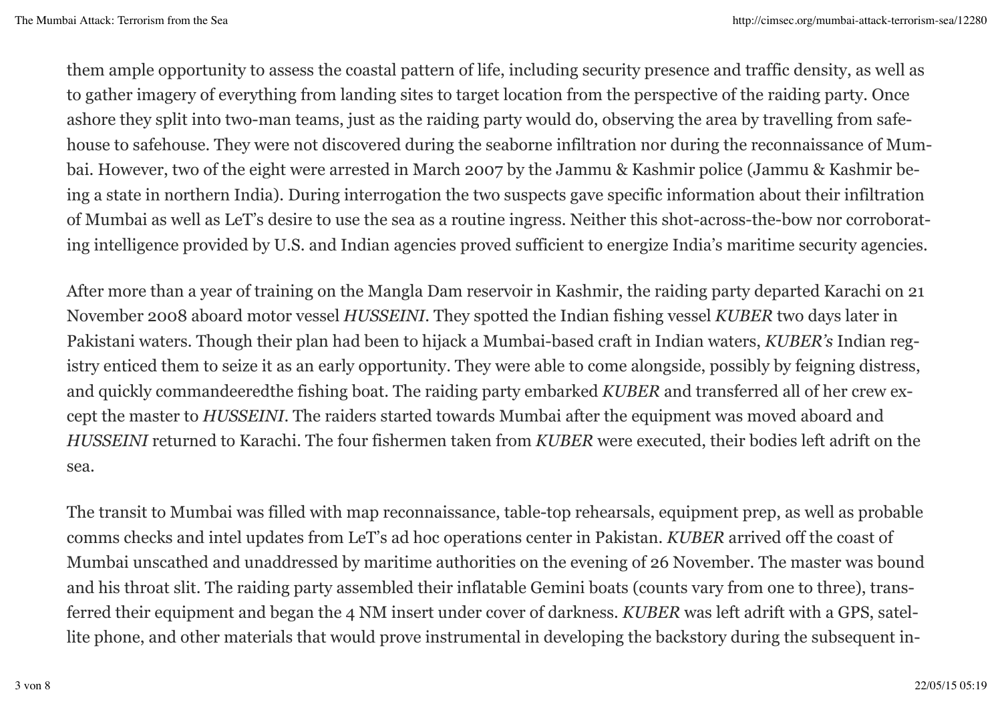them ample opportunity to assess the coastal pattern of life, including security presence and traffic density, as well as to gather imagery of everything from landing sites to target location from the perspective of the raiding party. Once ashore they split into two-man teams, just as the raiding party would do, observing the area by travelling from safehouse to safehouse. They were not discovered during the seaborne infiltration nor during the reconnaissance of Mumbai. However, two of the eight were arrested in March 2007 by the Jammu & Kashmir police (Jammu & Kashmir being a state in northern India). During interrogation the two suspects gave specific information about their infiltration of Mumbai as well as LeT's desire to use the sea as a routine ingress. Neither this shot-across-the-bow nor corroborating intelligence provided by U.S. and Indian agencies proved sufficient to energize India's maritime security agencies.

After more than a year of training on the Mangla Dam reservoir in Kashmir, the raiding party departed Karachi on 21 November 2008 aboard motor vessel *HUSSEINI*. They spotted the Indian fishing vessel *KUBER* two days later in Pakistani waters. Though their plan had been to hijack a Mumbai-based craft in Indian waters, *KUBER's* Indian registry enticed them to seize it as an early opportunity. They were able to come alongside, possibly by feigning distress, and quickly commandeeredthe fishing boat. The raiding party embarked *KUBER* and transferred all of her crew except the master to *HUSSEINI*. The raiders started towards Mumbai after the equipment was moved aboard and *HUSSEINI* returned to Karachi. The four fishermen taken from *KUBER* were executed, their bodies left adrift on the sea.

The transit to Mumbai was filled with map reconnaissance, table-top rehearsals, equipment prep, as well as probable comms checks and intel updates from LeT's ad hoc operations center in Pakistan. *KUBER* arrived off the coast of Mumbai unscathed and unaddressed by maritime authorities on the evening of 26 November. The master was bound and his throat slit. The raiding party assembled their inflatable Gemini boats (counts vary from one to three), transferred their equipment and began the 4 NM insert under cover of darkness. *KUBER* was left adrift with a GPS, satellite phone, and other materials that would prove instrumental in developing the backstory during the subsequent in-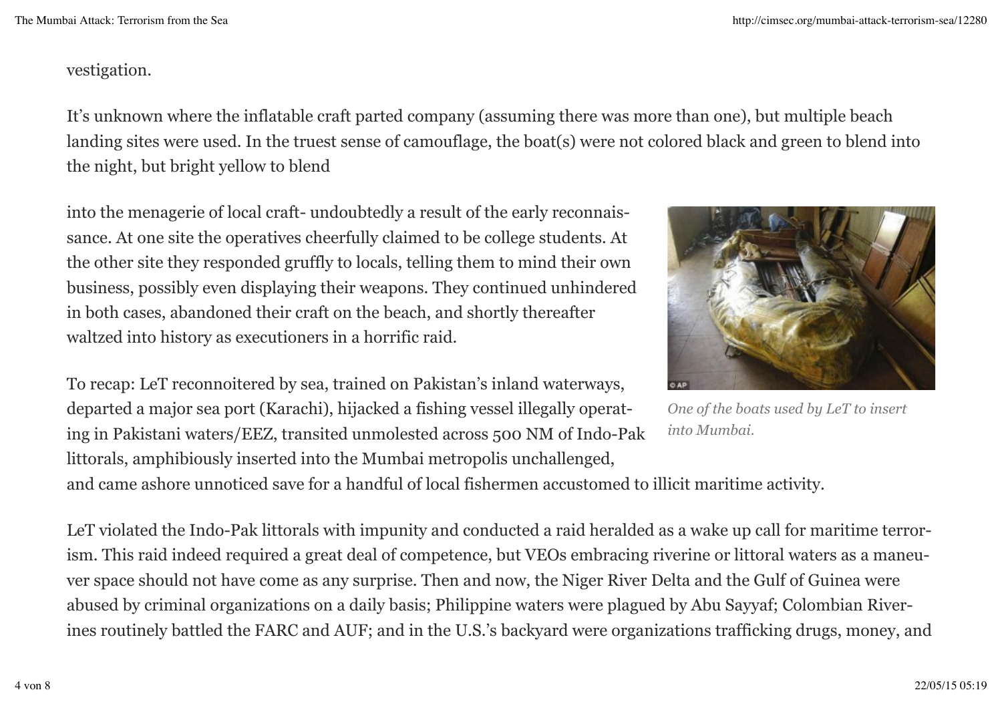## vestigation.

It's unknown where the inflatable craft parted company (assuming there was more than one), but multiple beach landing sites were used. In the truest sense of camouflage, the boat(s) were not colored black and green to blend into the night, but bright yellow to blend

into the menagerie of local craft- undoubtedly a result of the early reconnaissance. At one site the operatives cheerfully claimed to be college students. At the other site they responded gruffly to locals, telling them to mind their own business, possibly even displaying their weapons. They continued unhindered in both cases, abandoned their craft on the beach, and shortly thereafter waltzed into history as executioners in a horrific raid.

To recap: LeT reconnoitered by sea, trained on Pakistan's inland waterways, departed a major sea port (Karachi), hijacked a fishing vessel illegally operating in Pakistani waters/EEZ, transited unmolested across 500 NM of Indo-Pak littorals, amphibiously inserted into the Mumbai metropolis unchallenged,



*One of the boats used by LeT to insert into Mumbai.*

and came ashore unnoticed save for a handful of local fishermen accustomed to illicit maritime activity.

LeT violated the Indo-Pak littorals with impunity and conducted a raid heralded as a wake up call for maritime terrorism. This raid indeed required a great deal of competence, but VEOs embracing riverine or littoral waters as a maneuver space should not have come as any surprise. Then and now, the Niger River Delta and the Gulf of Guinea were abused by criminal organizations on a daily basis; Philippine waters were plagued by Abu Sayyaf; Colombian Riverines routinely battled the FARC and AUF; and in the U.S.'s backyard were organizations trafficking drugs, money, and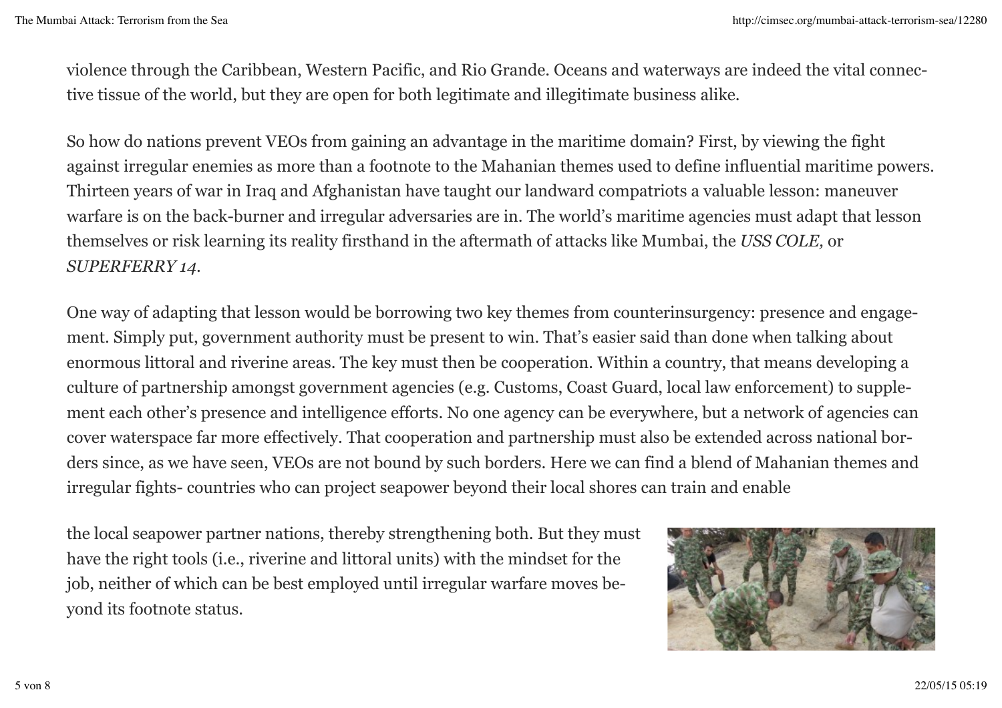violence through the Caribbean, Western Pacific, and Rio Grande. Oceans and waterways are indeed the vital connective tissue of the world, but they are open for both legitimate and illegitimate business alike.

So how do nations prevent VEOs from gaining an advantage in the maritime domain? First, by viewing the fight against irregular enemies as more than a footnote to the Mahanian themes used to define influential maritime powers. Thirteen years of war in Iraq and Afghanistan have taught our landward compatriots a valuable lesson: maneuver warfare is on the back-burner and irregular adversaries are in. The world's maritime agencies must adapt that lesson themselves or risk learning its reality firsthand in the aftermath of attacks like Mumbai, the *USS COLE,* or *SUPERFERRY 14*.

One way of adapting that lesson would be borrowing two key themes from counterinsurgency: presence and engagement. Simply put, government authority must be present to win. That's easier said than done when talking about enormous littoral and riverine areas. The key must then be cooperation. Within a country, that means developing a culture of partnership amongst government agencies (e.g. Customs, Coast Guard, local law enforcement) to supplement each other's presence and intelligence efforts. No one agency can be everywhere, but a network of agencies can cover waterspace far more effectively. That cooperation and partnership must also be extended across national borders since, as we have seen, VEOs are not bound by such borders. Here we can find a blend of Mahanian themes and irregular fights- countries who can project seapower beyond their local shores can train and enable

the local seapower partner nations, thereby strengthening both. But they must have the right tools (i.e., riverine and littoral units) with the mindset for the job, neither of which can be best employed until irregular warfare moves beyond its footnote status.

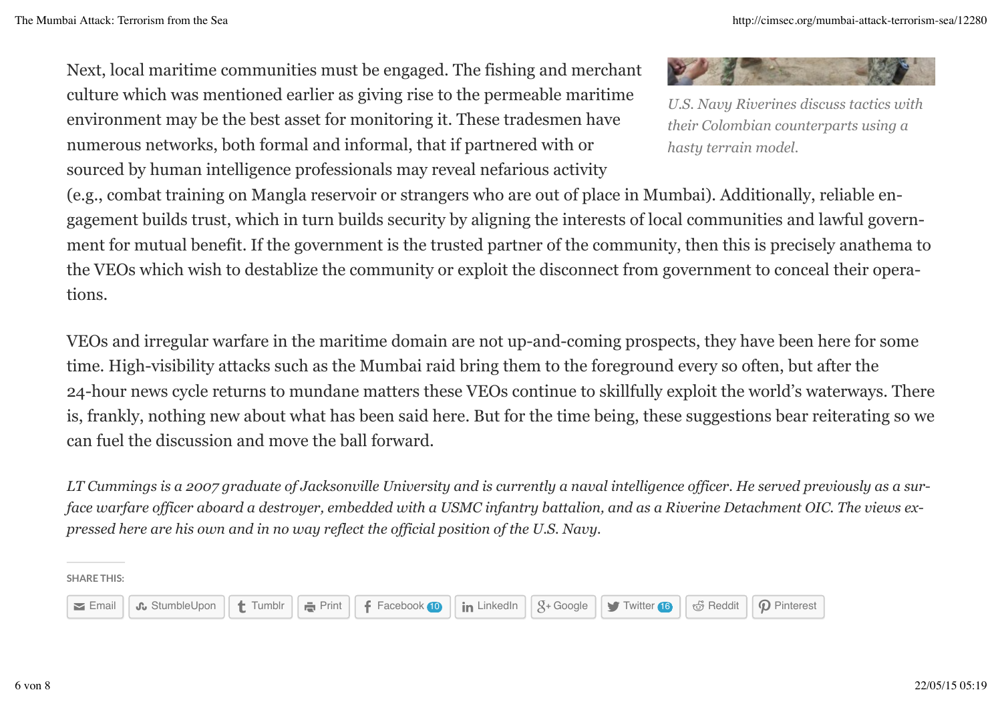Next, local maritime communities must be engaged. The fishing and merchant culture which was mentioned earlier as giving rise to the permeable maritime environment may be the best asset for monitoring it. These tradesmen have numerous networks, both formal and informal, that if partnered with or sourced by human intelligence professionals may reveal nefarious activity

(e.g., combat training on Mangla reservoir or strangers who are out of place in Mumbai). Additionally, reliable engagement builds trust, which in turn builds security by aligning the interests of local communities and lawful government for mutual benefit. If the government is the trusted partner of the community, then this is precisely anathema to the VEOs which wish to destablize the community or exploit the disconnect from government to conceal their operations.

VEOs and irregular warfare in the maritime domain are not up-and-coming prospects, they have been here for some time. High-visibility attacks such as the Mumbai raid bring them to the foreground every so often, but after the 24-hour news cycle returns to mundane matters these VEOs continue to skillfully exploit the world's waterways. There is, frankly, nothing new about what has been said here. But for the time being, these suggestions bear reiterating so we can fuel the discussion and move the ball forward.

*LT Cummings is a 2007 graduate of Jacksonville University and is currently a naval intelligence officer. He served previously as a surface warfare officer aboard a destroyer, embedded with a USMC infantry battalion, and as a Riverine Detachment OIC. The views expressed here are his own and in no way reflect the official position of the U.S. Navy.* 

SHARE THIS:





*U.S. Navy Riverines discuss tactics with their Colombian counterparts using a hasty terrain model.*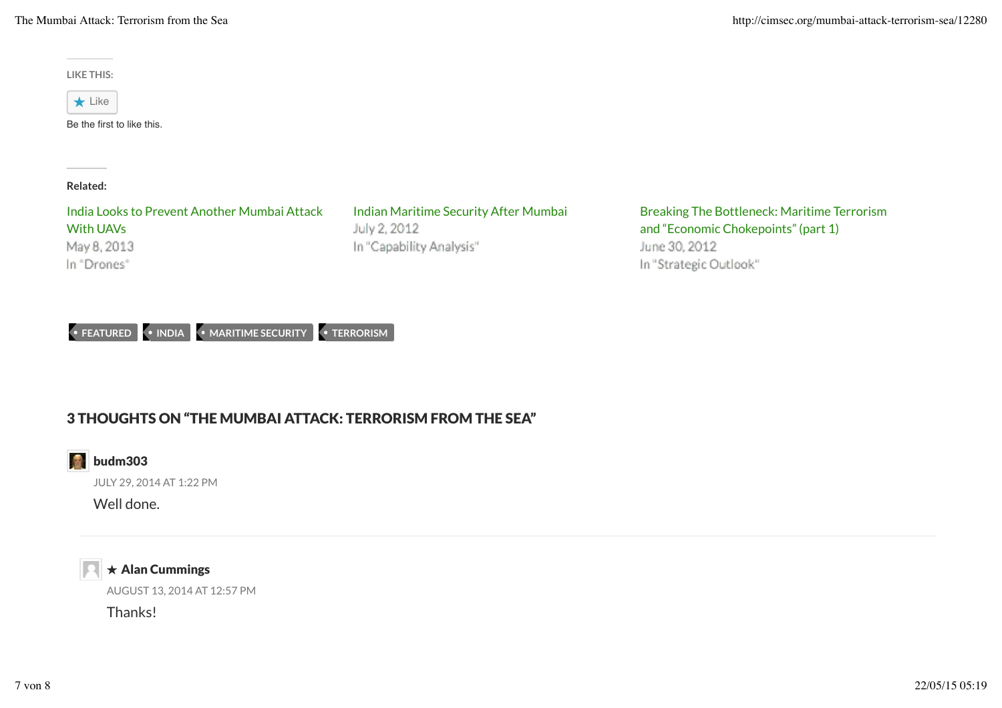The Mumbai Attack: Terrorism from the Sea http://cimsec.org/mumbai-attack-terrorism-sea/12280

LIKE THIS:

 $\star$  Like

Be the first to like this.

Related:

India Looks to Prevent Another Mumbai Attack With UAVs May 8, 2013 In "Drones"

July 2, 2012 In "Capability Analysis"

Indian Maritime Security After Mumbai Breaking The Bottleneck: Maritime Terrorism and "Economic Chokepoints" (part 1) June 30, 2012 In "Strategic Outlook"

• FEATURED • INDIA • MARITIME SECURITY • TERRORISM

## 3 THOUGHTS ON "THE MUMBAI ATTACK: TERRORISM FROM THE SEA"



JULY 29, 2014 AT 1:22 PM

Well done.



AUGUST 13, 2014 AT 12:57 PM  $\star$  Alan Cummings

Thanks!